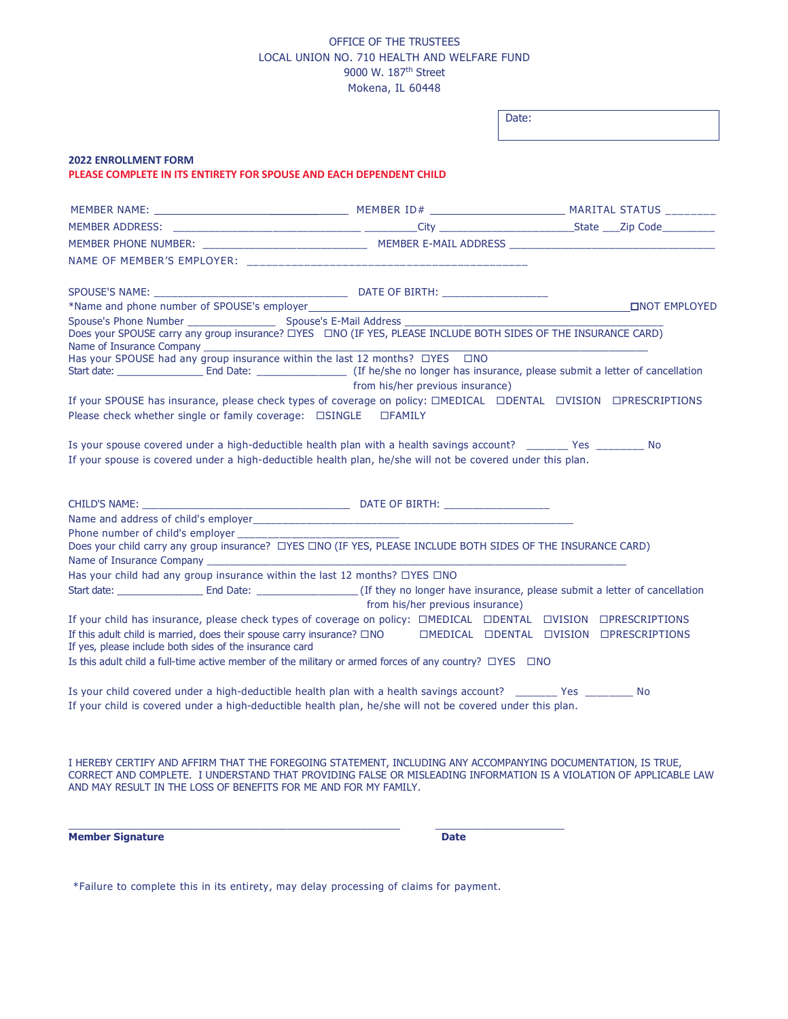## OFFICE OF THE TRUSTEES LOCAL UNION NO. 710 HEALTH AND WELFARE FUND 9000 W. 187th Street Mokena, IL 60448

Date:

## **2022 ENROLLMENT FORM PLEASE COMPLETE IN ITS ENTIRETY FOR SPOUSE AND EACH DEPENDENT CHILD** MEMBER NAME: \_\_\_\_\_\_\_\_ MEMBER ID# MARITAL STATUS \_\_\_\_\_\_\_\_ MEMBER ADDRESS: \_\_\_\_\_\_\_\_\_\_\_\_\_\_\_\_\_\_\_\_\_\_\_\_\_\_\_\_\_\_\_\_ \_\_\_\_\_\_\_\_\_City \_\_\_\_\_\_\_\_\_\_\_\_\_\_\_\_\_\_\_\_\_\_\_State \_\_\_Zip Code\_\_\_\_\_\_\_\_\_ MEMBER PHONE NUMBER: \_\_\_\_\_\_\_\_\_\_\_\_\_\_\_\_\_\_\_\_\_\_\_\_\_\_\_\_ MEMBER E-MAIL ADDRESS \_\_\_\_\_\_\_\_\_\_\_\_\_\_\_\_\_\_\_\_\_\_\_\_\_\_\_\_\_\_\_\_\_\_\_ NAME OF MEMBER'S EMPLOYER: \_\_\_\_\_\_\_\_\_\_\_\_\_\_\_\_\_\_\_\_\_\_\_\_\_\_\_\_\_\_\_\_\_\_\_\_\_\_\_\_\_\_\_\_ SPOUSE'S NAME: \_\_\_\_\_\_\_\_\_\_\_\_\_\_\_\_\_\_\_\_\_\_\_\_\_\_\_\_\_\_\_\_\_ DATE OF BIRTH: \_\_\_\_\_\_\_\_\_\_\_\_\_\_\_\_\_\_ \*Name and phone number of SPOUSE's employer <u>■NOT EMPLOYED ■NOT EMPLOYED</u> Spouse's Phone Number \_\_\_\_\_\_\_\_\_\_\_\_\_\_\_ Spouse's E-Mail Address \_\_\_\_\_\_\_\_\_\_\_\_\_\_\_\_\_\_\_\_\_\_\_\_\_\_\_\_\_\_\_\_\_\_\_\_\_\_\_\_\_\_\_\_ Does your SPOUSE carry any group insurance? □YES □NO (IF YES, PLEASE INCLUDE BOTH SIDES OF THE INSURANCE CARD) Name of Insurance Company \_\_\_\_\_\_ Has your SPOUSE had any group insurance within the last 12 months?  $\Box$ YES  $\Box$ NO Start date: \_\_\_\_\_\_\_\_\_\_\_\_\_\_\_\_\_\_\_\_\_\_\_\_ End Date: \_\_\_\_\_\_\_\_\_\_\_\_\_\_\_\_\_\_\_\_\_\_\_\_\_\_\_\_\_\_\_\_\_ (If he/she no longer has insurance, please submit a letter of cancellation from his/her previous insurance) If your SPOUSE has insurance, please check types of coverage on policy: □MEDICAL □DENTAL □VISION □PRESCRIPTIONS Please check whether single or family coverage: □SINGLE □FAMILY Is your spouse covered under a high-deductible health plan with a health savings account? \_\_\_\_\_\_\_ Yes \_\_\_\_\_\_\_\_ No If your spouse is covered under a high-deductible health plan, he/she will not be covered under this plan. CHILD'S NAME: \_\_\_\_\_\_\_\_\_\_\_\_\_\_\_\_\_\_\_\_\_\_\_\_\_\_\_\_\_\_\_\_\_\_\_\_\_ DATE OF BIRTH: \_\_\_\_\_\_\_\_\_\_\_\_\_\_\_\_\_\_ Name and address of child's employer Phone number of child's employer Does your child carry any group insurance? ¨YES ¨NO (IF YES, PLEASE INCLUDE BOTH SIDES OF THE INSURANCE CARD) Name of Insurance Company Has your child had any group insurance within the last 12 months?  $\Box$ YES  $\Box$ NO Start date: \_\_\_\_\_\_\_\_\_\_\_\_\_\_\_\_ End Date: \_\_\_\_\_\_\_\_\_\_\_\_\_\_\_\_\_\_ (If they no longer have insurance, please submit a letter of cancellation from his/her previous insurance) If your child has insurance, please check types of coverage on policy: □MEDICAL □DENTAL □VISION □PRESCRIPTIONS If this adult child is married, does their spouse carry insurance? □NO □MEDICAL □DENTAL □VISION □PRESCRIPTIONS If yes, please include both sides of the insurance card Is this adult child a full-time active member of the military or armed forces of any country?  $\Box$ YES  $\Box$ NO Is your child covered under a high-deductible health plan with a health savings account? \_\_\_\_\_\_\_ Yes \_\_\_\_\_\_\_\_ No If your child is covered under a high-deductible health plan, he/she will not be covered under this plan. I HEREBY CERTIFY AND AFFIRM THAT THE FOREGOING STATEMENT, INCLUDING ANY ACCOMPANYING DOCUMENTATION, IS TRUE, CORRECT AND COMPLETE. I UNDERSTAND THAT PROVIDING FALSE OR MISLEADING INFORMATION IS A VIOLATION OF APPLICABLE LAW AND MAY RESULT IN THE LOSS OF BENEFITS FOR ME AND FOR MY FAMILY.

**Member Signature Date** 

\*Failure to complete this in its entirety, may delay processing of claims for payment.